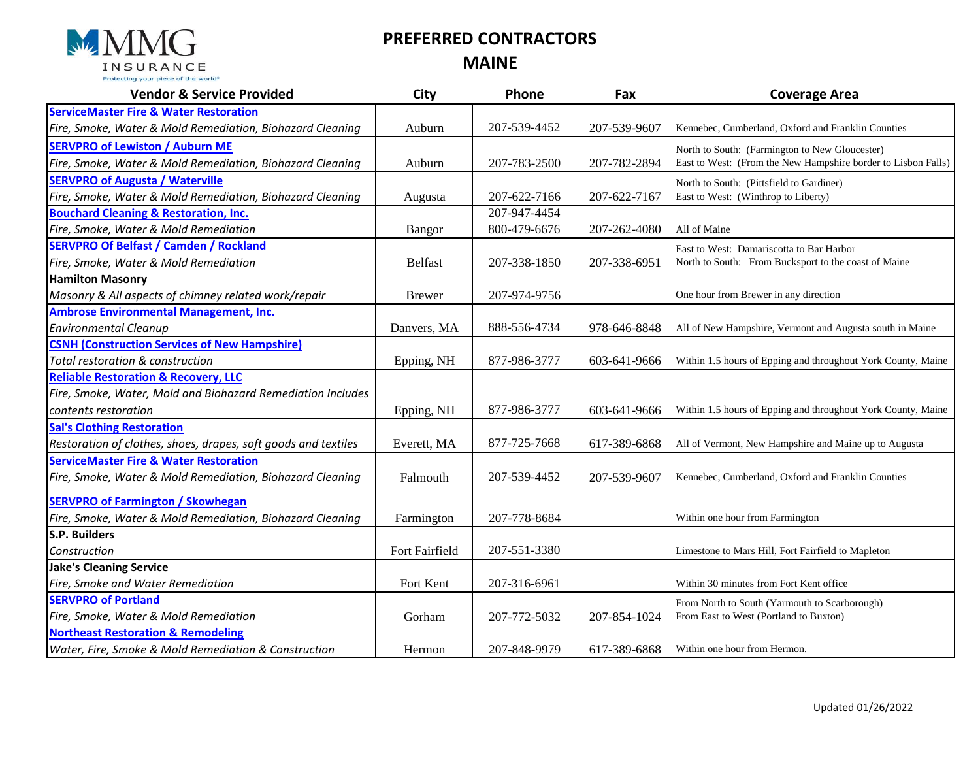

## **PREFERRED CONTRACTORS**

**MAINE**

| <b>Vendor &amp; Service Provided</b>                           | City           | Phone        | Fax          | <b>Coverage Area</b>                                          |
|----------------------------------------------------------------|----------------|--------------|--------------|---------------------------------------------------------------|
| <b>ServiceMaster Fire &amp; Water Restoration</b>              |                |              |              |                                                               |
| Fire, Smoke, Water & Mold Remediation, Biohazard Cleaning      | Auburn         | 207-539-4452 | 207-539-9607 | Kennebec, Cumberland, Oxford and Franklin Counties            |
| <b>SERVPRO of Lewiston / Auburn ME</b>                         |                |              |              | North to South: (Farmington to New Gloucester)                |
| Fire, Smoke, Water & Mold Remediation, Biohazard Cleaning      | Auburn         | 207-783-2500 | 207-782-2894 | East to West: (From the New Hampshire border to Lisbon Falls) |
| <b>SERVPRO of Augusta / Waterville</b>                         |                |              |              | North to South: (Pittsfield to Gardiner)                      |
| Fire, Smoke, Water & Mold Remediation, Biohazard Cleaning      | Augusta        | 207-622-7166 | 207-622-7167 | East to West: (Winthrop to Liberty)                           |
| <b>Bouchard Cleaning &amp; Restoration, Inc.</b>               |                | 207-947-4454 |              |                                                               |
| Fire, Smoke, Water & Mold Remediation                          | Bangor         | 800-479-6676 | 207-262-4080 | All of Maine                                                  |
| <b>SERVPRO Of Belfast / Camden / Rockland</b>                  |                |              |              | East to West: Damariscotta to Bar Harbor                      |
| Fire, Smoke, Water & Mold Remediation                          | Belfast        | 207-338-1850 | 207-338-6951 | North to South: From Bucksport to the coast of Maine          |
| <b>Hamilton Masonry</b>                                        |                |              |              |                                                               |
| Masonry & All aspects of chimney related work/repair           | <b>Brewer</b>  | 207-974-9756 |              | One hour from Brewer in any direction                         |
| <b>Ambrose Environmental Management, Inc.</b>                  |                |              |              |                                                               |
| <b>Environmental Cleanup</b>                                   | Danvers, MA    | 888-556-4734 | 978-646-8848 | All of New Hampshire, Vermont and Augusta south in Maine      |
| <b>CSNH (Construction Services of New Hampshire)</b>           |                |              |              |                                                               |
| Total restoration & construction                               | Epping, NH     | 877-986-3777 | 603-641-9666 | Within 1.5 hours of Epping and throughout York County, Maine  |
| <b>Reliable Restoration &amp; Recovery, LLC</b>                |                |              |              |                                                               |
| Fire, Smoke, Water, Mold and Biohazard Remediation Includes    |                |              |              |                                                               |
| contents restoration                                           | Epping, NH     | 877-986-3777 | 603-641-9666 | Within 1.5 hours of Epping and throughout York County, Maine  |
| <b>Sal's Clothing Restoration</b>                              |                |              |              |                                                               |
| Restoration of clothes, shoes, drapes, soft goods and textiles | Everett, MA    | 877-725-7668 | 617-389-6868 | All of Vermont, New Hampshire and Maine up to Augusta         |
| <b>ServiceMaster Fire &amp; Water Restoration</b>              |                |              |              |                                                               |
| Fire, Smoke, Water & Mold Remediation, Biohazard Cleaning      | Falmouth       | 207-539-4452 | 207-539-9607 | Kennebec, Cumberland, Oxford and Franklin Counties            |
| <b>SERVPRO of Farmington / Skowhegan</b>                       |                |              |              |                                                               |
| Fire, Smoke, Water & Mold Remediation, Biohazard Cleaning      | Farmington     | 207-778-8684 |              | Within one hour from Farmington                               |
| S.P. Builders                                                  |                |              |              |                                                               |
| Construction                                                   | Fort Fairfield | 207-551-3380 |              | Limestone to Mars Hill, Fort Fairfield to Mapleton            |
| <b>Jake's Cleaning Service</b>                                 |                |              |              |                                                               |
| Fire, Smoke and Water Remediation                              | Fort Kent      | 207-316-6961 |              | Within 30 minutes from Fort Kent office                       |
| <b>SERVPRO of Portland</b>                                     |                |              |              | From North to South (Yarmouth to Scarborough)                 |
| Fire, Smoke, Water & Mold Remediation                          | Gorham         | 207-772-5032 | 207-854-1024 | From East to West (Portland to Buxton)                        |
| <b>Northeast Restoration &amp; Remodeling</b>                  |                |              |              |                                                               |
| Water, Fire, Smoke & Mold Remediation & Construction           | Hermon         | 207-848-9979 | 617-389-6868 | Within one hour from Hermon.                                  |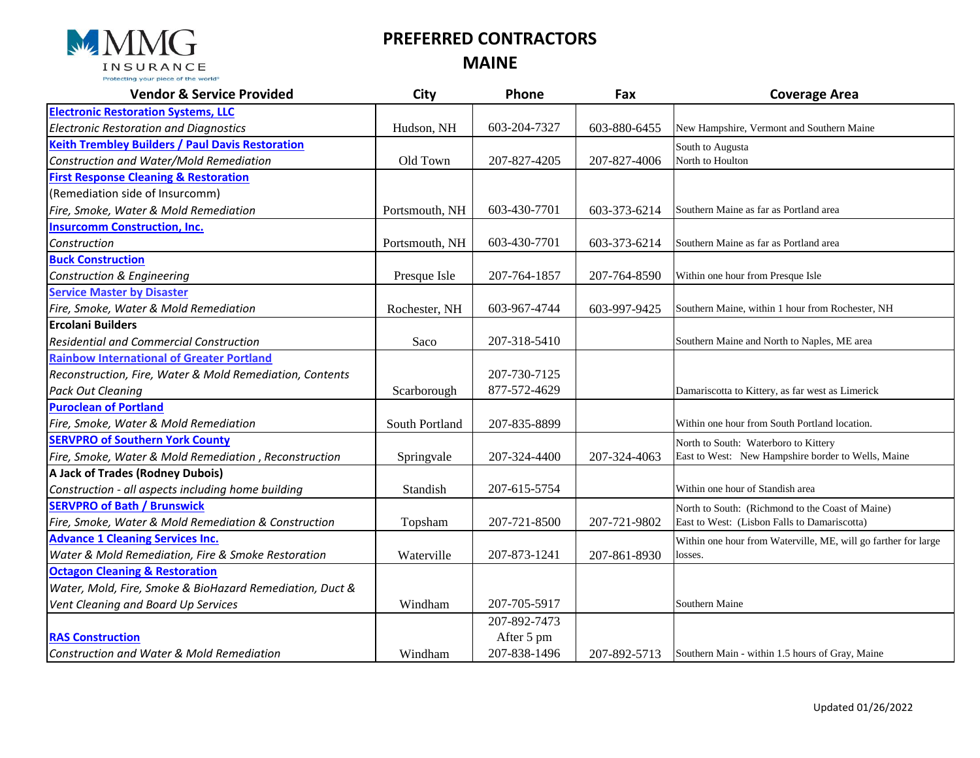

## **PREFERRED CONTRACTORS MAINE**

| <b>Vendor &amp; Service Provided</b>                     | <b>City</b>    | Phone        | Fax          | <b>Coverage Area</b>                                           |
|----------------------------------------------------------|----------------|--------------|--------------|----------------------------------------------------------------|
| <b>Electronic Restoration Systems, LLC</b>               |                |              |              |                                                                |
| <b>Electronic Restoration and Diagnostics</b>            | Hudson, NH     | 603-204-7327 | 603-880-6455 | New Hampshire, Vermont and Southern Maine                      |
| <b>Keith Trembley Builders / Paul Davis Restoration</b>  |                |              |              | South to Augusta                                               |
| Construction and Water/Mold Remediation                  | Old Town       | 207-827-4205 | 207-827-4006 | North to Houlton                                               |
| <b>First Response Cleaning &amp; Restoration</b>         |                |              |              |                                                                |
| (Remediation side of Insurcomm)                          |                |              |              |                                                                |
| Fire, Smoke, Water & Mold Remediation                    | Portsmouth, NH | 603-430-7701 | 603-373-6214 | Southern Maine as far as Portland area                         |
| <b>Insurcomm Construction, Inc.</b>                      |                |              |              |                                                                |
| Construction                                             | Portsmouth, NH | 603-430-7701 | 603-373-6214 | Southern Maine as far as Portland area                         |
| <b>Buck Construction</b>                                 |                |              |              |                                                                |
| Construction & Engineering                               | Presque Isle   | 207-764-1857 | 207-764-8590 | Within one hour from Presque Isle                              |
| <b>Service Master by Disaster</b>                        |                |              |              |                                                                |
| Fire, Smoke, Water & Mold Remediation                    | Rochester, NH  | 603-967-4744 | 603-997-9425 | Southern Maine, within 1 hour from Rochester, NH               |
| <b>Ercolani Builders</b>                                 |                |              |              |                                                                |
| <b>Residential and Commercial Construction</b>           | Saco           | 207-318-5410 |              | Southern Maine and North to Naples, ME area                    |
| <b>Rainbow International of Greater Portland</b>         |                |              |              |                                                                |
| Reconstruction, Fire, Water & Mold Remediation, Contents |                | 207-730-7125 |              |                                                                |
| <b>Pack Out Cleaning</b>                                 | Scarborough    | 877-572-4629 |              | Damariscotta to Kittery, as far west as Limerick               |
| <b>Puroclean of Portland</b>                             |                |              |              |                                                                |
| Fire, Smoke, Water & Mold Remediation                    | South Portland | 207-835-8899 |              | Within one hour from South Portland location.                  |
| <b>SERVPRO of Southern York County</b>                   |                |              |              | North to South: Waterboro to Kittery                           |
| Fire, Smoke, Water & Mold Remediation, Reconstruction    | Springvale     | 207-324-4400 | 207-324-4063 | East to West: New Hampshire border to Wells, Maine             |
| A Jack of Trades (Rodney Dubois)                         |                |              |              |                                                                |
| Construction - all aspects including home building       | Standish       | 207-615-5754 |              | Within one hour of Standish area                               |
| <b>SERVPRO of Bath / Brunswick</b>                       |                |              |              | North to South: (Richmond to the Coast of Maine)               |
| Fire, Smoke, Water & Mold Remediation & Construction     | Topsham        | 207-721-8500 | 207-721-9802 | East to West: (Lisbon Falls to Damariscotta)                   |
| <b>Advance 1 Cleaning Services Inc.</b>                  |                |              |              | Within one hour from Waterville, ME, will go farther for large |
| Water & Mold Remediation, Fire & Smoke Restoration       | Waterville     | 207-873-1241 | 207-861-8930 | losses.                                                        |
| <b>Octagon Cleaning &amp; Restoration</b>                |                |              |              |                                                                |
| Water, Mold, Fire, Smoke & BioHazard Remediation, Duct & |                |              |              |                                                                |
| Vent Cleaning and Board Up Services                      | Windham        | 207-705-5917 |              | Southern Maine                                                 |
|                                                          |                | 207-892-7473 |              |                                                                |
| <b>RAS Construction</b>                                  |                | After 5 pm   |              |                                                                |
| Construction and Water & Mold Remediation                | Windham        | 207-838-1496 | 207-892-5713 | Southern Main - within 1.5 hours of Gray, Maine                |